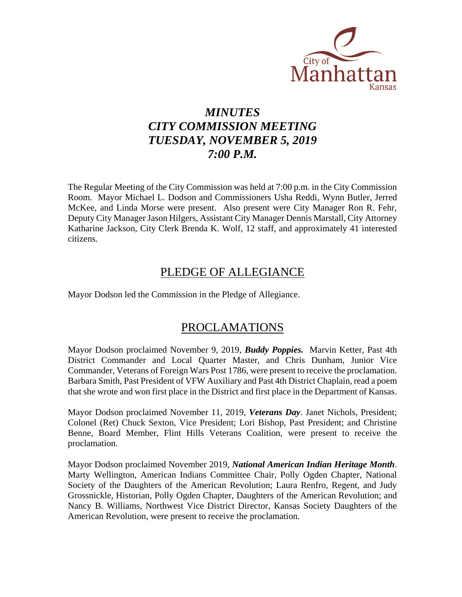

# *MINUTES CITY COMMISSION MEETING TUESDAY, NOVEMBER 5, 2019 7:00 P.M.*

The Regular Meeting of the City Commission was held at 7:00 p.m. in the City Commission Room. Mayor Michael L. Dodson and Commissioners Usha Reddi, Wynn Butler, Jerred McKee, and Linda Morse were present. Also present were City Manager Ron R. Fehr, Deputy City Manager Jason Hilgers, Assistant City Manager Dennis Marstall, City Attorney Katharine Jackson, City Clerk Brenda K. Wolf, 12 staff, and approximately 41 interested citizens.

### PLEDGE OF ALLEGIANCE

Mayor Dodson led the Commission in the Pledge of Allegiance.

### PROCLAMATIONS

Mayor Dodson proclaimed November 9, 2019, *Buddy Poppies.* Marvin Ketter, Past 4th District Commander and Local Quarter Master, and Chris Dunham, Junior Vice Commander, Veterans of Foreign Wars Post 1786, were present to receive the proclamation. Barbara Smith, Past President of VFW Auxiliary and Past 4th District Chaplain, read a poem that she wrote and won first place in the District and first place in the Department of Kansas.

Mayor Dodson proclaimed November 11, 2019, *Veterans Day*. Janet Nichols, President; Colonel (Ret) Chuck Sexton, Vice President; Lori Bishop, Past President; and Christine Benne, Board Member, Flint Hills Veterans Coalition, were present to receive the proclamation.

Mayor Dodson proclaimed November 2019, *National American Indian Heritage Month*. Marty Wellington, American Indians Committee Chair, Polly Ogden Chapter, National Society of the Daughters of the American Revolution; Laura Renfro, Regent, and Judy Grossnickle, Historian, Polly Ogden Chapter, Daughters of the American Revolution; and Nancy B. Williams, Northwest Vice District Director, Kansas Society Daughters of the American Revolution, were present to receive the proclamation.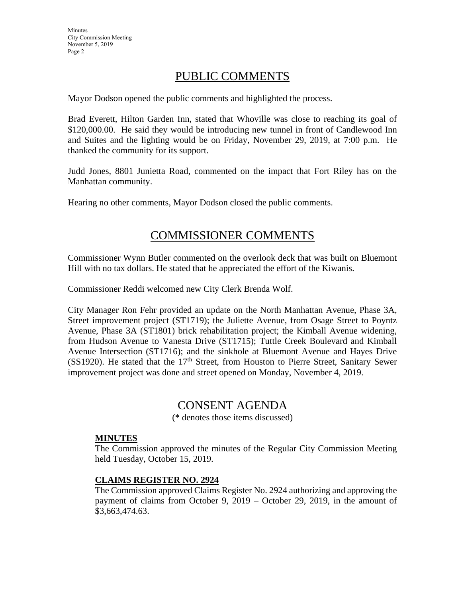### PUBLIC COMMENTS

Mayor Dodson opened the public comments and highlighted the process.

Brad Everett, Hilton Garden Inn, stated that Whoville was close to reaching its goal of \$120,000.00. He said they would be introducing new tunnel in front of Candlewood Inn and Suites and the lighting would be on Friday, November 29, 2019, at 7:00 p.m. He thanked the community for its support.

Judd Jones, 8801 Junietta Road, commented on the impact that Fort Riley has on the Manhattan community.

Hearing no other comments, Mayor Dodson closed the public comments.

### COMMISSIONER COMMENTS

Commissioner Wynn Butler commented on the overlook deck that was built on Bluemont Hill with no tax dollars. He stated that he appreciated the effort of the Kiwanis.

Commissioner Reddi welcomed new City Clerk Brenda Wolf.

City Manager Ron Fehr provided an update on the North Manhattan Avenue, Phase 3A, Street improvement project (ST1719); the Juliette Avenue, from Osage Street to Poyntz Avenue, Phase 3A (ST1801) brick rehabilitation project; the Kimball Avenue widening, from Hudson Avenue to Vanesta Drive (ST1715); Tuttle Creek Boulevard and Kimball Avenue Intersection (ST1716); and the sinkhole at Bluemont Avenue and Hayes Drive (SS1920). He stated that the  $17<sup>th</sup>$  Street, from Houston to Pierre Street, Sanitary Sewer improvement project was done and street opened on Monday, November 4, 2019.

### CONSENT AGENDA

(\* denotes those items discussed)

#### **MINUTES**

The Commission approved the minutes of the Regular City Commission Meeting held Tuesday, October 15, 2019.

#### **CLAIMS REGISTER NO. 2924**

The Commission approved Claims Register No. 2924 authorizing and approving the payment of claims from October 9, 2019 – October 29, 2019, in the amount of \$3,663,474.63.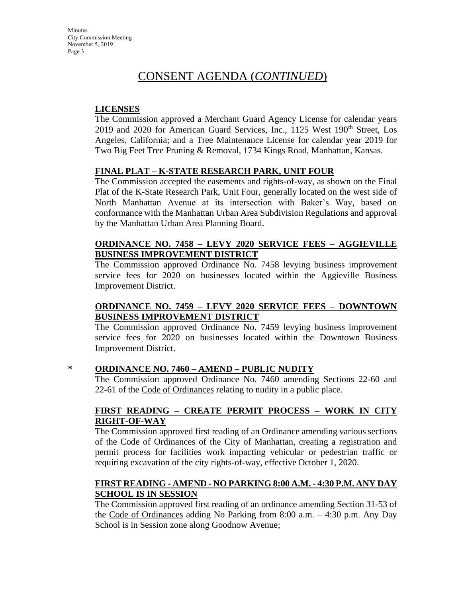**Minutes** City Commission Meeting November 5, 2019 Page 3

### CONSENT AGENDA (*CONTINUED*)

#### **LICENSES**

The Commission approved a Merchant Guard Agency License for calendar years  $2019$  and  $2020$  for American Guard Services, Inc., 1125 West  $190<sup>th</sup>$  Street, Los Angeles, California; and a Tree Maintenance License for calendar year 2019 for Two Big Feet Tree Pruning & Removal, 1734 Kings Road, Manhattan, Kansas.

#### **FINAL PLAT – K-STATE RESEARCH PARK, UNIT FOUR**

The Commission accepted the easements and rights-of-way, as shown on the Final Plat of the K-State Research Park, Unit Four, generally located on the west side of North Manhattan Avenue at its intersection with Baker's Way, based on conformance with the Manhattan Urban Area Subdivision Regulations and approval by the Manhattan Urban Area Planning Board.

#### **ORDINANCE NO. 7458 – LEVY 2020 SERVICE FEES – AGGIEVILLE BUSINESS IMPROVEMENT DISTRICT**

The Commission approved Ordinance No. 7458 levying business improvement service fees for 2020 on businesses located within the Aggieville Business Improvement District.

#### **ORDINANCE NO. 7459 – LEVY 2020 SERVICE FEES – DOWNTOWN BUSINESS IMPROVEMENT DISTRICT**

The Commission approved Ordinance No. 7459 levying business improvement service fees for 2020 on businesses located within the Downtown Business Improvement District.

#### **\* ORDINANCE NO. 7460 – AMEND – PUBLIC NUDITY**

The Commission approved Ordinance No. 7460 amending Sections 22-60 and 22-61 of the Code of Ordinances relating to nudity in a public place.

#### **FIRST READING – CREATE PERMIT PROCESS – WORK IN CITY RIGHT-OF-WAY**

The Commission approved first reading of an Ordinance amending various sections of the Code of Ordinances of the City of Manhattan, creating a registration and permit process for facilities work impacting vehicular or pedestrian traffic or requiring excavation of the city rights-of-way, effective October 1, 2020.

#### **FIRST READING - AMEND - NO PARKING 8:00 A.M. - 4:30 P.M. ANY DAY SCHOOL IS IN SESSION**

The Commission approved first reading of an ordinance amending Section 31-53 of the Code of Ordinances adding No Parking from 8:00 a.m. – 4:30 p.m. Any Day School is in Session zone along Goodnow Avenue;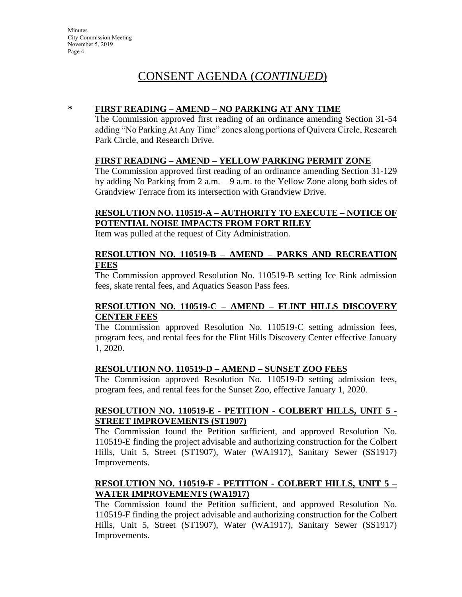#### **\* FIRST READING – AMEND – NO PARKING AT ANY TIME**

The Commission approved first reading of an ordinance amending Section 31-54 adding "No Parking At Any Time" zones along portions of Quivera Circle, Research Park Circle, and Research Drive.

#### **FIRST READING – AMEND – YELLOW PARKING PERMIT ZONE**

The Commission approved first reading of an ordinance amending Section 31-129 by adding No Parking from 2 a.m. – 9 a.m. to the Yellow Zone along both sides of Grandview Terrace from its intersection with Grandview Drive.

#### **RESOLUTION NO. 110519-A – AUTHORITY TO EXECUTE – NOTICE OF POTENTIAL NOISE IMPACTS FROM FORT RILEY**

Item was pulled at the request of City Administration.

#### **RESOLUTION NO. 110519-B – AMEND – PARKS AND RECREATION FEES**

The Commission approved Resolution No. 110519-B setting Ice Rink admission fees, skate rental fees, and Aquatics Season Pass fees.

#### **RESOLUTION NO. 110519-C – AMEND – FLINT HILLS DISCOVERY CENTER FEES**

The Commission approved Resolution No. 110519-C setting admission fees, program fees, and rental fees for the Flint Hills Discovery Center effective January 1, 2020.

#### **RESOLUTION NO. 110519-D – AMEND – SUNSET ZOO FEES**

The Commission approved Resolution No. 110519-D setting admission fees, program fees, and rental fees for the Sunset Zoo, effective January 1, 2020.

#### **RESOLUTION NO. 110519-E - PETITION - COLBERT HILLS, UNIT 5 - STREET IMPROVEMENTS (ST1907)**

The Commission found the Petition sufficient, and approved Resolution No. 110519-E finding the project advisable and authorizing construction for the Colbert Hills, Unit 5, Street (ST1907), Water (WA1917), Sanitary Sewer (SS1917) Improvements.

### **RESOLUTION NO. 110519-F - PETITION - COLBERT HILLS, UNIT 5 – WATER IMPROVEMENTS (WA1917)**

The Commission found the Petition sufficient, and approved Resolution No. 110519-F finding the project advisable and authorizing construction for the Colbert Hills, Unit 5, Street (ST1907), Water (WA1917), Sanitary Sewer (SS1917) Improvements.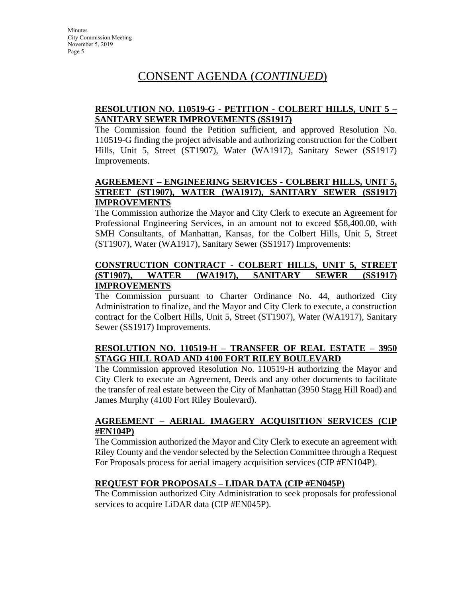### **RESOLUTION NO. 110519-G - PETITION - COLBERT HILLS, UNIT 5 – SANITARY SEWER IMPROVEMENTS (SS1917)**

The Commission found the Petition sufficient, and approved Resolution No. 110519-G finding the project advisable and authorizing construction for the Colbert Hills, Unit 5, Street (ST1907), Water (WA1917), Sanitary Sewer (SS1917) Improvements.

#### **AGREEMENT – ENGINEERING SERVICES - COLBERT HILLS, UNIT 5, STREET (ST1907), WATER (WA1917), SANITARY SEWER (SS1917) IMPROVEMENTS**

The Commission authorize the Mayor and City Clerk to execute an Agreement for Professional Engineering Services, in an amount not to exceed \$58,400.00, with SMH Consultants, of Manhattan, Kansas, for the Colbert Hills, Unit 5, Street (ST1907), Water (WA1917), Sanitary Sewer (SS1917) Improvements:

#### **CONSTRUCTION CONTRACT - COLBERT HILLS, UNIT 5, STREET (ST1907), WATER (WA1917), SANITARY SEWER (SS1917) IMPROVEMENTS**

The Commission pursuant to Charter Ordinance No. 44, authorized City Administration to finalize, and the Mayor and City Clerk to execute, a construction contract for the Colbert Hills, Unit 5, Street (ST1907), Water (WA1917), Sanitary Sewer (SS1917) Improvements.

### **RESOLUTION NO. 110519-H – TRANSFER OF REAL ESTATE – 3950 STAGG HILL ROAD AND 4100 FORT RILEY BOULEVARD**

The Commission approved Resolution No. 110519-H authorizing the Mayor and City Clerk to execute an Agreement, Deeds and any other documents to facilitate the transfer of real estate between the City of Manhattan (3950 Stagg Hill Road) and James Murphy (4100 Fort Riley Boulevard).

#### **AGREEMENT – AERIAL IMAGERY ACQUISITION SERVICES (CIP #EN104P)**

The Commission authorized the Mayor and City Clerk to execute an agreement with Riley County and the vendor selected by the Selection Committee through a Request For Proposals process for aerial imagery acquisition services (CIP #EN104P).

### **REQUEST FOR PROPOSALS – LIDAR DATA (CIP #EN045P)**

The Commission authorized City Administration to seek proposals for professional services to acquire LiDAR data (CIP #EN045P).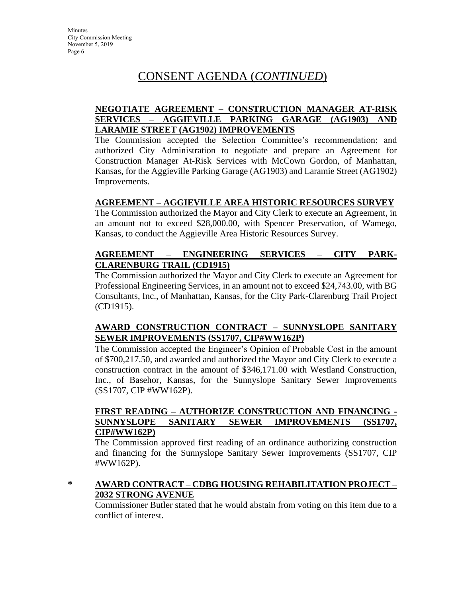#### **NEGOTIATE AGREEMENT – CONSTRUCTION MANAGER AT-RISK SERVICES – AGGIEVILLE PARKING GARAGE (AG1903) AND LARAMIE STREET (AG1902) IMPROVEMENTS**

The Commission accepted the Selection Committee's recommendation; and authorized City Administration to negotiate and prepare an Agreement for Construction Manager At-Risk Services with McCown Gordon, of Manhattan, Kansas, for the Aggieville Parking Garage (AG1903) and Laramie Street (AG1902) Improvements.

#### **AGREEMENT – AGGIEVILLE AREA HISTORIC RESOURCES SURVEY**

The Commission authorized the Mayor and City Clerk to execute an Agreement, in an amount not to exceed \$28,000.00, with Spencer Preservation, of Wamego, Kansas, to conduct the Aggieville Area Historic Resources Survey.

### **AGREEMENT – ENGINEERING SERVICES – CITY PARK-CLARENBURG TRAIL (CD1915)**

The Commission authorized the Mayor and City Clerk to execute an Agreement for Professional Engineering Services, in an amount not to exceed \$24,743.00, with BG Consultants, Inc., of Manhattan, Kansas, for the City Park-Clarenburg Trail Project (CD1915).

#### **AWARD CONSTRUCTION CONTRACT – SUNNYSLOPE SANITARY SEWER IMPROVEMENTS (SS1707, CIP#WW162P)**

The Commission accepted the Engineer's Opinion of Probable Cost in the amount of \$700,217.50, and awarded and authorized the Mayor and City Clerk to execute a construction contract in the amount of \$346,171.00 with Westland Construction, Inc., of Basehor, Kansas, for the Sunnyslope Sanitary Sewer Improvements (SS1707, CIP #WW162P).

#### **FIRST READING – AUTHORIZE CONSTRUCTION AND FINANCING - SUNNYSLOPE SANITARY SEWER IMPROVEMENTS (SS1707, CIP#WW162P)**

The Commission approved first reading of an ordinance authorizing construction and financing for the Sunnyslope Sanitary Sewer Improvements (SS1707, CIP #WW162P).

### **\* AWARD CONTRACT – CDBG HOUSING REHABILITATION PROJECT – 2032 STRONG AVENUE**

Commissioner Butler stated that he would abstain from voting on this item due to a conflict of interest.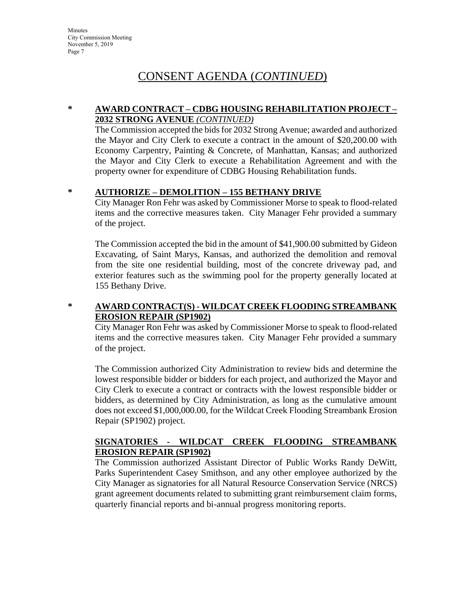**Minutes** City Commission Meeting November 5, 2019 Page 7

### CONSENT AGENDA (*CONTINUED*)

#### **\* AWARD CONTRACT – CDBG HOUSING REHABILITATION PROJECT – 2032 STRONG AVENUE** *(CONTINUED)*

The Commission accepted the bids for 2032 Strong Avenue; awarded and authorized the Mayor and City Clerk to execute a contract in the amount of \$20,200.00 with Economy Carpentry, Painting & Concrete, of Manhattan, Kansas; and authorized the Mayor and City Clerk to execute a Rehabilitation Agreement and with the property owner for expenditure of CDBG Housing Rehabilitation funds.

### **\* AUTHORIZE – DEMOLITION – 155 BETHANY DRIVE**

City Manager Ron Fehr was asked by Commissioner Morse to speak to flood-related items and the corrective measures taken. City Manager Fehr provided a summary of the project.

The Commission accepted the bid in the amount of \$41,900.00 submitted by Gideon Excavating, of Saint Marys, Kansas, and authorized the demolition and removal from the site one residential building, most of the concrete driveway pad, and exterior features such as the swimming pool for the property generally located at 155 Bethany Drive.

### **\* AWARD CONTRACT(S) - WILDCAT CREEK FLOODING STREAMBANK EROSION REPAIR (SP1902)**

City Manager Ron Fehr was asked by Commissioner Morse to speak to flood-related items and the corrective measures taken. City Manager Fehr provided a summary of the project.

The Commission authorized City Administration to review bids and determine the lowest responsible bidder or bidders for each project, and authorized the Mayor and City Clerk to execute a contract or contracts with the lowest responsible bidder or bidders, as determined by City Administration, as long as the cumulative amount does not exceed \$1,000,000.00, for the Wildcat Creek Flooding Streambank Erosion Repair (SP1902) project.

### **SIGNATORIES - WILDCAT CREEK FLOODING STREAMBANK EROSION REPAIR (SP1902)**

The Commission authorized Assistant Director of Public Works Randy DeWitt, Parks Superintendent Casey Smithson, and any other employee authorized by the City Manager as signatories for all Natural Resource Conservation Service (NRCS) grant agreement documents related to submitting grant reimbursement claim forms, quarterly financial reports and bi-annual progress monitoring reports.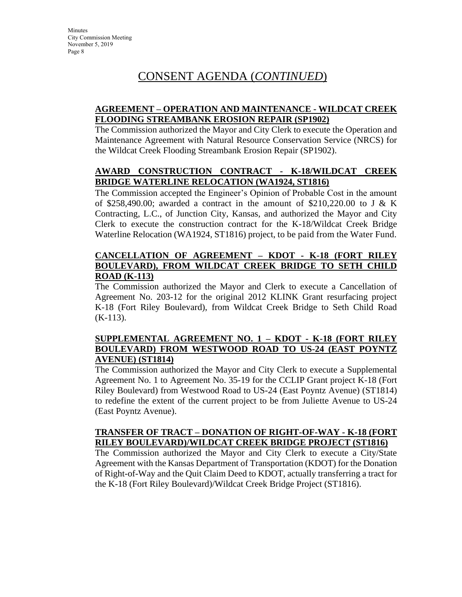#### **AGREEMENT – OPERATION AND MAINTENANCE - WILDCAT CREEK FLOODING STREAMBANK EROSION REPAIR (SP1902)**

The Commission authorized the Mayor and City Clerk to execute the Operation and Maintenance Agreement with Natural Resource Conservation Service (NRCS) for the Wildcat Creek Flooding Streambank Erosion Repair (SP1902).

### **AWARD CONSTRUCTION CONTRACT - K-18/WILDCAT CREEK BRIDGE WATERLINE RELOCATION (WA1924, ST1816)**

The Commission accepted the Engineer's Opinion of Probable Cost in the amount of \$258,490.00; awarded a contract in the amount of \$210,220.00 to J & K Contracting, L.C., of Junction City, Kansas, and authorized the Mayor and City Clerk to execute the construction contract for the K-18/Wildcat Creek Bridge Waterline Relocation (WA1924, ST1816) project, to be paid from the Water Fund.

#### **CANCELLATION OF AGREEMENT – KDOT - K-18 (FORT RILEY BOULEVARD), FROM WILDCAT CREEK BRIDGE TO SETH CHILD ROAD (K-113)**

The Commission authorized the Mayor and Clerk to execute a Cancellation of Agreement No. 203-12 for the original 2012 KLINK Grant resurfacing project K-18 (Fort Riley Boulevard), from Wildcat Creek Bridge to Seth Child Road  $(K-113)$ .

#### **SUPPLEMENTAL AGREEMENT NO. 1 – KDOT - K-18 (FORT RILEY BOULEVARD) FROM WESTWOOD ROAD TO US-24 (EAST POYNTZ AVENUE) (ST1814)**

The Commission authorized the Mayor and City Clerk to execute a Supplemental Agreement No. 1 to Agreement No. 35-19 for the CCLIP Grant project K-18 (Fort Riley Boulevard) from Westwood Road to US-24 (East Poyntz Avenue) (ST1814) to redefine the extent of the current project to be from Juliette Avenue to US-24 (East Poyntz Avenue).

#### **TRANSFER OF TRACT – DONATION OF RIGHT-OF-WAY - K-18 (FORT RILEY BOULEVARD)/WILDCAT CREEK BRIDGE PROJECT (ST1816)**

The Commission authorized the Mayor and City Clerk to execute a City/State Agreement with the Kansas Department of Transportation (KDOT) for the Donation of Right-of-Way and the Quit Claim Deed to KDOT, actually transferring a tract for the K-18 (Fort Riley Boulevard)/Wildcat Creek Bridge Project (ST1816).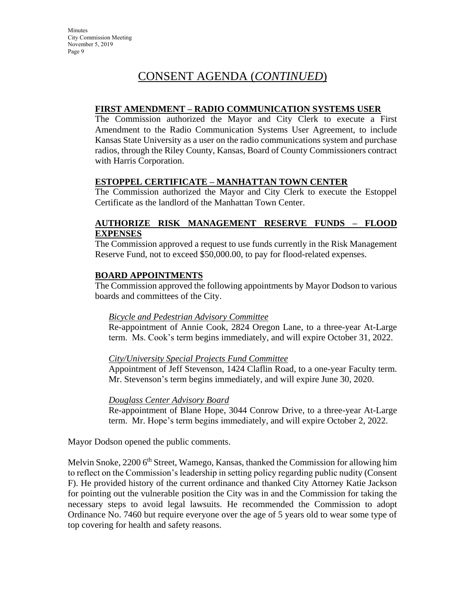#### **FIRST AMENDMENT – RADIO COMMUNICATION SYSTEMS USER**

The Commission authorized the Mayor and City Clerk to execute a First Amendment to the Radio Communication Systems User Agreement, to include Kansas State University as a user on the radio communications system and purchase radios, through the Riley County, Kansas, Board of County Commissioners contract with Harris Corporation.

#### **ESTOPPEL CERTIFICATE – MANHATTAN TOWN CENTER**

The Commission authorized the Mayor and City Clerk to execute the Estoppel Certificate as the landlord of the Manhattan Town Center.

#### **AUTHORIZE RISK MANAGEMENT RESERVE FUNDS – FLOOD EXPENSES**

The Commission approved a request to use funds currently in the Risk Management Reserve Fund, not to exceed \$50,000.00, to pay for flood-related expenses.

#### **BOARD APPOINTMENTS**

The Commission approved the following appointments by Mayor Dodson to various boards and committees of the City.

#### *Bicycle and Pedestrian Advisory Committee*

Re-appointment of Annie Cook, 2824 Oregon Lane, to a three-year At-Large term. Ms. Cook's term begins immediately, and will expire October 31, 2022.

#### *City/University Special Projects Fund Committee*

Appointment of Jeff Stevenson, 1424 Claflin Road, to a one-year Faculty term. Mr. Stevenson's term begins immediately, and will expire June 30, 2020.

#### *Douglass Center Advisory Board*

Re-appointment of Blane Hope, 3044 Conrow Drive, to a three-year At-Large term. Mr. Hope's term begins immediately, and will expire October 2, 2022.

Mayor Dodson opened the public comments.

Melvin Snoke, 2200 6<sup>th</sup> Street, Wamego, Kansas, thanked the Commission for allowing him to reflect on the Commission's leadership in setting policy regarding public nudity (Consent F). He provided history of the current ordinance and thanked City Attorney Katie Jackson for pointing out the vulnerable position the City was in and the Commission for taking the necessary steps to avoid legal lawsuits. He recommended the Commission to adopt Ordinance No. 7460 but require everyone over the age of 5 years old to wear some type of top covering for health and safety reasons.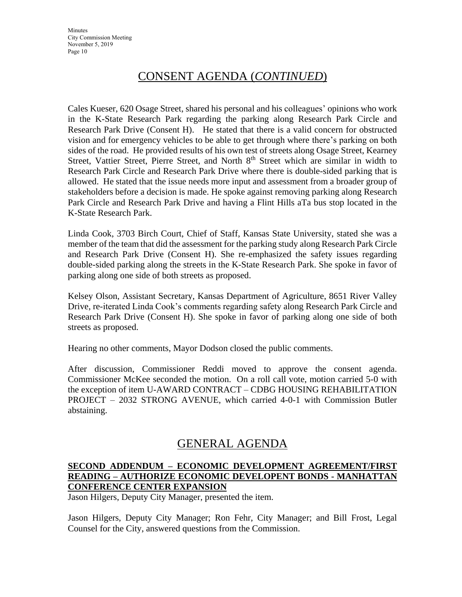Cales Kueser, 620 Osage Street, shared his personal and his colleagues' opinions who work in the K-State Research Park regarding the parking along Research Park Circle and Research Park Drive (Consent H). He stated that there is a valid concern for obstructed vision and for emergency vehicles to be able to get through where there's parking on both sides of the road. He provided results of his own test of streets along Osage Street, Kearney Street, Vattier Street, Pierre Street, and North 8<sup>th</sup> Street which are similar in width to Research Park Circle and Research Park Drive where there is double-sided parking that is allowed. He stated that the issue needs more input and assessment from a broader group of stakeholders before a decision is made. He spoke against removing parking along Research Park Circle and Research Park Drive and having a Flint Hills aTa bus stop located in the K-State Research Park.

Linda Cook, 3703 Birch Court, Chief of Staff, Kansas State University, stated she was a member of the team that did the assessment for the parking study along Research Park Circle and Research Park Drive (Consent H). She re-emphasized the safety issues regarding double-sided parking along the streets in the K-State Research Park. She spoke in favor of parking along one side of both streets as proposed.

Kelsey Olson, Assistant Secretary, Kansas Department of Agriculture, 8651 River Valley Drive, re-iterated Linda Cook's comments regarding safety along Research Park Circle and Research Park Drive (Consent H). She spoke in favor of parking along one side of both streets as proposed.

Hearing no other comments, Mayor Dodson closed the public comments.

After discussion, Commissioner Reddi moved to approve the consent agenda. Commissioner McKee seconded the motion. On a roll call vote, motion carried 5-0 with the exception of item U-AWARD CONTRACT – CDBG HOUSING REHABILITATION PROJECT – 2032 STRONG AVENUE, which carried 4-0-1 with Commission Butler abstaining.

### GENERAL AGENDA

### **SECOND ADDENDUM – ECONOMIC DEVELOPMENT AGREEMENT/FIRST READING – AUTHORIZE ECONOMIC DEVELOPENT BONDS - MANHATTAN CONFERENCE CENTER EXPANSION**

Jason Hilgers, Deputy City Manager, presented the item.

Jason Hilgers, Deputy City Manager; Ron Fehr, City Manager; and Bill Frost, Legal Counsel for the City, answered questions from the Commission.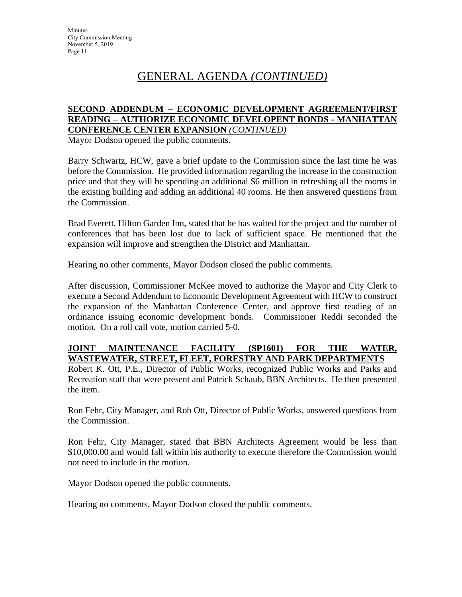## GENERAL AGENDA *(CONTINUED)*

#### **SECOND ADDENDUM – ECONOMIC DEVELOPMENT AGREEMENT/FIRST READING – AUTHORIZE ECONOMIC DEVELOPENT BONDS - MANHATTAN CONFERENCE CENTER EXPANSION** *(CONTINUED)*

Mayor Dodson opened the public comments.

Barry Schwartz, HCW, gave a brief update to the Commission since the last time he was before the Commission. He provided information regarding the increase in the construction price and that they will be spending an additional \$6 million in refreshing all the rooms in the existing building and adding an additional 40 rooms. He then answered questions from the Commission.

Brad Everett, Hilton Garden Inn, stated that he has waited for the project and the number of conferences that has been lost due to lack of sufficient space. He mentioned that the expansion will improve and strengthen the District and Manhattan.

Hearing no other comments, Mayor Dodson closed the public comments.

After discussion, Commissioner McKee moved to authorize the Mayor and City Clerk to execute a Second Addendum to Economic Development Agreement with HCW to construct the expansion of the Manhattan Conference Center, and approve first reading of an ordinance issuing economic development bonds. Commissioner Reddi seconded the motion. On a roll call vote, motion carried 5-0.

#### **JOINT MAINTENANCE FACILITY (SP1601) FOR THE WATER, WASTEWATER, STREET, FLEET, FORESTRY AND PARK DEPARTMENTS**

Robert K. Ott, P.E., Director of Public Works, recognized Public Works and Parks and Recreation staff that were present and Patrick Schaub, BBN Architects. He then presented the item.

Ron Fehr, City Manager, and Rob Ott, Director of Public Works, answered questions from the Commission.

Ron Fehr, City Manager, stated that BBN Architects Agreement would be less than \$10,000.00 and would fall within his authority to execute therefore the Commission would not need to include in the motion.

Mayor Dodson opened the public comments.

Hearing no comments, Mayor Dodson closed the public comments.